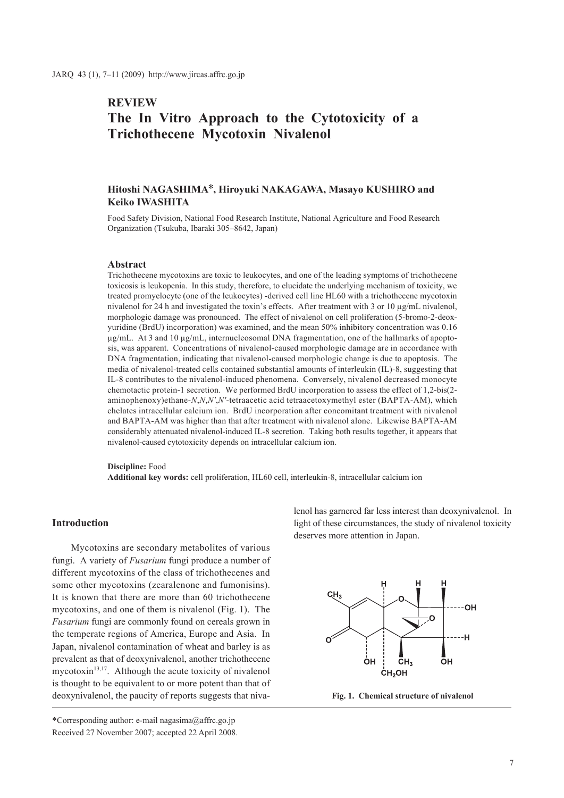# **REVIEW The In Vitro Approach to the Cytotoxicity of a Trichothecene Mycotoxin Nivalenol**

# **Hitoshi NAGASHIMA\*, Hiroyuki NAKAGAWA, Masayo KUSHIRO and Keiko IWASHITA**

Food Safety Division, National Food Research Institute, National Agriculture and Food Research Organization (Tsukuba, Ibaraki 305–8642, Japan)

### **Abstract**

Trichothecene mycotoxins are toxic to leukocytes, and one of the leading symptoms of trichothecene toxicosis is leukopenia. In this study, therefore, to elucidate the underlying mechanism of toxicity, we treated promyelocyte (one of the leukocytes) -derived cell line HL60 with a trichothecene mycotoxin nivalenol for 24 h and investigated the toxin's effects. After treatment with 3 or 10 µg/mL nivalenol, morphologic damage was pronounced. The effect of nivalenol on cell proliferation (5-bromo-2-deoxyuridine (BrdU) incorporation) was examined, and the mean 50% inhibitory concentration was 0.16  $\mu$ g/mL. At 3 and 10  $\mu$ g/mL, internucleosomal DNA fragmentation, one of the hallmarks of apoptosis, was apparent. Concentrations of nivalenol-caused morphologic damage are in accordance with DNA fragmentation, indicating that nivalenol-caused morphologic change is due to apoptosis. The media of nivalenol-treated cells contained substantial amounts of interleukin (IL)-8, suggesting that IL-8 contributes to the nivalenol-induced phenomena. Conversely, nivalenol decreased monocyte chemotactic protein-1 secretion. We performed BrdU incorporation to assess the effect of 1,2-bis(2 aminophenoxy)ethane-*N*,*N*,*N'*,*N'*-tetraacetic acid tetraacetoxymethyl ester (BAPTA-AM), which chelates intracellular calcium ion. BrdU incorporation after concomitant treatment with nivalenol and BAPTA-AM was higher than that after treatment with nivalenol alone. Likewise BAPTA-AM considerably attenuated nivalenol-induced IL-8 secretion. Taking both results together, it appears that nivalenol-caused cytotoxicity depends on intracellular calcium ion.

#### **Discipline:** Food

**Additional key words:** cell proliferation, HL60 cell, interleukin-8, intracellular calcium ion

# **Introduction**

Mycotoxins are secondary metabolites of various fungi. A variety of *Fusarium* fungi produce a number of different mycotoxins of the class of trichothecenes and some other mycotoxins (zearalenone and fumonisins). It is known that there are more than 60 trichothecene mycotoxins, and one of them is nivalenol (Fig. 1). The *Fusarium* fungi are commonly found on cereals grown in the temperate regions of America, Europe and Asia. In Japan, nivalenol contamination of wheat and barley is as prevalent as that of deoxynivalenol, another trichothecene my $cotoxin<sup>13,17</sup>$ . Although the acute toxicity of nivalenol is thought to be equivalent to or more potent than that of deoxynivalenol, the paucity of reports suggests that nivalenol has garnered far less interest than deoxynivalenol. In light of these circumstances, the study of nivalenol toxicity deserves more attention in Japan.



**Fig. 1. Chemical structure of nivalenol** 

<sup>\*</sup>Corresponding author: e-mail nagasima@affrc.go.jp Received 27 November 2007; accepted 22 April 2008.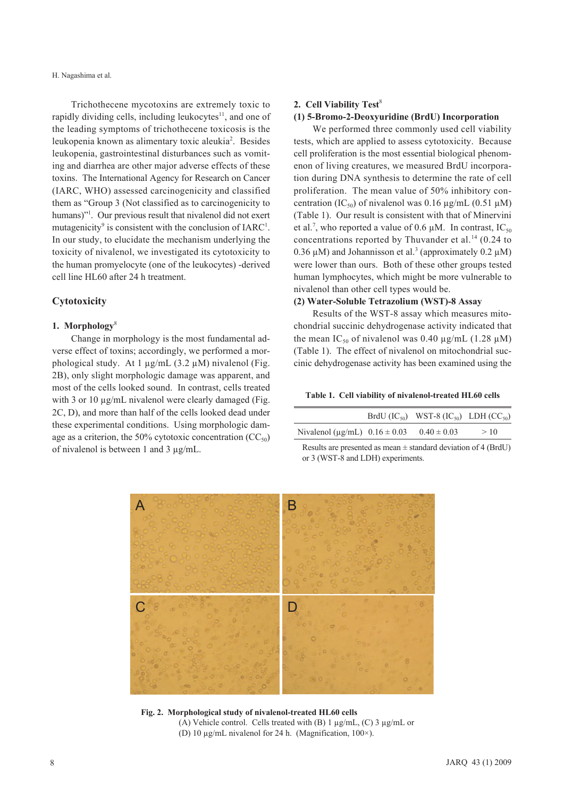Trichothecene mycotoxins are extremely toxic to rapidly dividing cells, including leukocytes<sup>11</sup>, and one of the leading symptoms of trichothecene toxicosis is the leukopenia known as alimentary toxic aleukia<sup>2</sup>. Besides leukopenia, gastrointestinal disturbances such as vomiting and diarrhea are other major adverse effects of these toxins. The International Agency for Research on Cancer (IARC, WHO) assessed carcinogenicity and classified them as "Group 3 (Not classified as to carcinogenicity to humans)"<sup>1</sup>. Our previous result that nivalenol did not exert mutagenicity<sup>9</sup> is consistent with the conclusion of  $IARC<sup>1</sup>$ . In our study, to elucidate the mechanism underlying the toxicity of nivalenol, we investigated its cytotoxicity to the human promyelocyte (one of the leukocytes) -derived cell line HL60 after 24 h treatment.

### **Cytotoxicity**

# **1. Morphology**<sup>8</sup>

Change in morphology is the most fundamental adverse effect of toxins; accordingly, we performed a morphological study. At 1  $\mu$ g/mL (3.2  $\mu$ M) nivalenol (Fig. 2B), only slight morphologic damage was apparent, and most of the cells looked sound. In contrast, cells treated with 3 or 10  $\mu$ g/mL nivalenol were clearly damaged (Fig. 2C, D), and more than half of the cells looked dead under these experimental conditions. Using morphologic damage as a criterion, the 50% cytotoxic concentration  $(CC<sub>50</sub>)$ of nivalenol is between 1 and 3 µg/mL.

#### **2. Cell Viability Test**<sup>8</sup>

#### **(1) 5-Bromo-2-Deoxyuridine (BrdU) Incorporation**

We performed three commonly used cell viability tests, which are applied to assess cytotoxicity. Because cell proliferation is the most essential biological phenomenon of living creatures, we measured BrdU incorporation during DNA synthesis to determine the rate of cell proliferation. The mean value of 50% inhibitory concentration (IC<sub>50</sub>) of nivalenol was 0.16  $\mu$ g/mL (0.51  $\mu$ M) (Table 1). Our result is consistent with that of Minervini et al.<sup>7</sup>, who reported a value of 0.6  $\mu$ M. In contrast, IC<sub>50</sub> concentrations reported by Thuvander et al.<sup>14</sup> (0.24 to 0.36  $\mu$ M) and Johannisson et al.<sup>3</sup> (approximately 0.2  $\mu$ M) were lower than ours. Both of these other groups tested human lymphocytes, which might be more vulnerable to nivalenol than other cell types would be.

### **(2) Water-Soluble Tetrazolium (WST)-8 Assay**

Results of the WST-8 assay which measures mitochondrial succinic dehydrogenase activity indicated that the mean IC<sub>50</sub> of nivalenol was 0.40  $\mu$ g/mL (1.28  $\mu$ M) (Table 1). The effect of nivalenol on mitochondrial succinic dehydrogenase activity has been examined using the

**Table 1. Cell viability of nivalenol-treated HL60 cells**

|                                         | BrdU $(IC_{50})$ WST-8 $(IC_{50})$ LDH $(CC_{50})$ |     |
|-----------------------------------------|----------------------------------------------------|-----|
| Nivalenol ( $\mu$ g/mL) $0.16 \pm 0.03$ | $0.40 \pm 0.03$                                    | >10 |

Results are presented as mean  $\pm$  standard deviation of 4 (BrdU) or 3 (WST-8 and LDH) experiments.



**Fig. 2. Morphological study of nivalenol-treated HL60 cells** (A) Vehicle control. Cells treated with (B)  $1 \mu g/mL$ , (C)  $3 \mu g/mL$  or (D) 10  $\mu$ g/mL nivalenol for 24 h. (Magnification, 100×).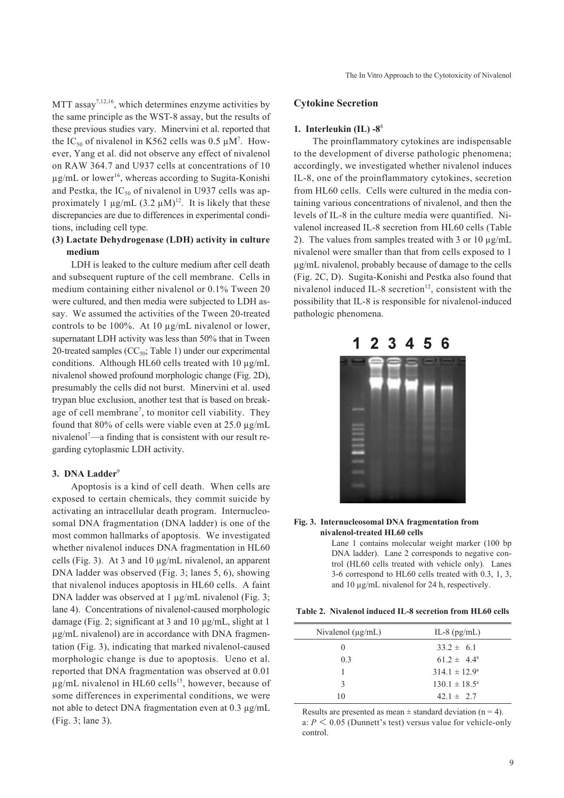MTT assay<sup>7,12,16</sup>, which determines enzyme activities by the same principle as the WST-8 assay, but the results of these previous studies vary. Minervini et al. reported that the IC<sub>50</sub> of nivalenol in K562 cells was 0.5  $\mu$ M<sup>7</sup>. However, Yang et al. did not observe any effect of nivalenol on RAW 364.7 and U937 cells at concentrations of 10  $\mu$ g/mL or lower<sup>16</sup>, whereas according to Sugita-Konishi and Pestka, the  $IC_{50}$  of nivalenol in U937 cells was approximately 1  $\mu$ g/mL (3.2  $\mu$ M)<sup>12</sup>. It is likely that these discrepancies are due to differences in experimental conditions, including cell type.

# **(3) Lactate Dehydrogenase (LDH) activity in culture medium**

LDH is leaked to the culture medium after cell death and subsequent rupture of the cell membrane. Cells in medium containing either nivalenol or 0.1% Tween 20 were cultured, and then media were subjected to LDH assay. We assumed the activities of the Tween 20-treated controls to be 100%. At 10 µg/mL nivalenol or lower, supernatant LDH activity was less than 50% that in Tween 20-treated samples  $(CC<sub>50</sub>; Table 1)$  under our experimental conditions. Although HL60 cells treated with 10 µg/mL nivalenol showed profound morphologic change (Fig. 2D), presumably the cells did not burst. Minervini et al. used trypan blue exclusion, another test that is based on breakage of cell membrane<sup>7</sup>, to monitor cell viability. They found that 80% of cells were viable even at 25.0 µg/mL nivalenol<sup>7</sup>—a finding that is consistent with our result regarding cytoplasmic LDH activity.

### 3. DNA Ladder<sup>9</sup>

Apoptosis is a kind of cell death. When cells are exposed to certain chemicals, they commit suicide by activating an intracellular death program. Internucleosomal DNA fragmentation (DNA ladder) is one of the most common hallmarks of apoptosis. We investigated whether nivalenol induces DNA fragmentation in HL60 cells (Fig. 3). At 3 and 10 µg/mL nivalenol, an apparent DNA ladder was observed (Fig. 3; lanes 5, 6), showing that nivalenol induces apoptosis in HL60 cells. A faint DNA ladder was observed at 1 µg/mL nivalenol (Fig. 3; lane 4). Concentrations of nivalenol-caused morphologic damage (Fig. 2; significant at 3 and 10 µg/mL, slight at 1 µg/mL nivalenol) are in accordance with DNA fragmentation (Fig. 3), indicating that marked nivalenol-caused morphologic change is due to apoptosis. Ueno et al. reported that DNA fragmentation was observed at 0.01  $\mu$ g/mL nivalenol in HL60 cells<sup>15</sup>, however, because of some differences in experimental conditions, we were not able to detect DNA fragmentation even at 0.3 µg/mL (Fig. 3; lane 3).

# **Cytokine Secretion**

### **1. Interleukin (IL) -8**<sup>8</sup>

The proinflammatory cytokines are indispensable to the development of diverse pathologic phenomena; accordingly, we investigated whether nivalenol induces IL-8, one of the proinflammatory cytokines, secretion from HL60 cells. Cells were cultured in the media containing various concentrations of nivalenol, and then the levels of IL-8 in the culture media were quantified. Nivalenol increased IL-8 secretion from HL60 cells (Table 2). The values from samples treated with 3 or 10 µg/mL nivalenol were smaller than that from cells exposed to 1 µg/mL nivalenol, probably because of damage to the cells (Fig. 2C, D). Sugita-Konishi and Pestka also found that nivalenol induced IL-8 secretion $12$ , consistent with the possibility that IL-8 is responsible for nivalenol-induced pathologic phenomena.



#### **Fig. 3. Internucleosomal DNA fragmentation from nivalenol-treated HL60 cells**

Lane 1 contains molecular weight marker (100 bp DNA ladder). Lane 2 corresponds to negative control (HL60 cells treated with vehicle only). Lanes 3-6 correspond to HL60 cells treated with 0.3, 1, 3, and 10 µg/mL nivalenol for 24 h, respectively.

**Table 2. Nivalenol induced IL-8 secretion from HL60 cells**

| Nivalenol $(\mu g/mL)$ | IL-8 $(pg/mL)$           |
|------------------------|--------------------------|
| $\theta$               | $33.2 \pm 6.1$           |
| 0 <sup>3</sup>         | $61.2 \pm 4.4^{\circ}$   |
|                        | $314.1 \pm 12.9^{\circ}$ |
| 3                      | $130.1 \pm 18.5^{\circ}$ |
| 10                     | $42.1 \pm 2.7$           |

Results are presented as mean  $\pm$  standard deviation (n = 4). a: *P* **<** 0.05 (Dunnett's test) versus value for vehicle-only control.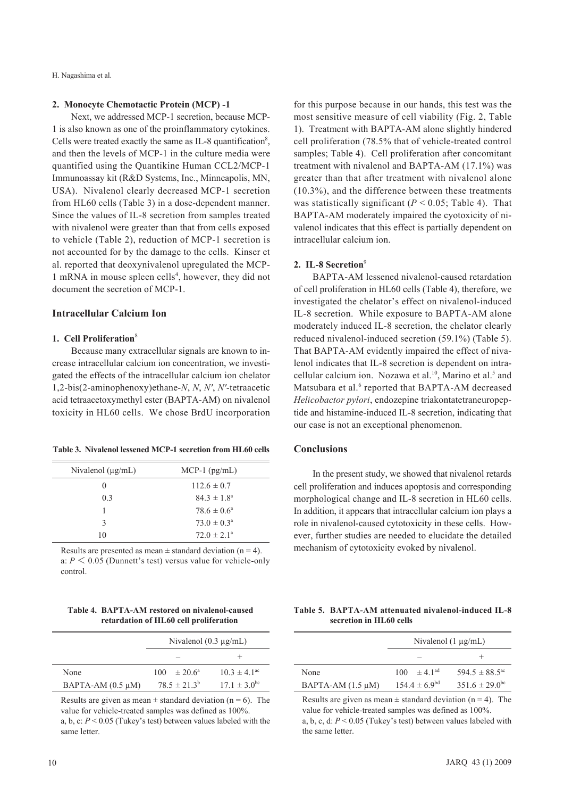H. Nagashima et al.

#### **2. Monocyte Chemotactic Protein (MCP) -1**

Next, we addressed MCP-1 secretion, because MCP-1 is also known as one of the proinflammatory cytokines. Cells were treated exactly the same as IL-8 quantification<sup>8</sup>, and then the levels of MCP-1 in the culture media were quantified using the Quantikine Human CCL2/MCP-1 Immunoassay kit (R&D Systems, Inc., Minneapolis, MN, USA). Nivalenol clearly decreased MCP-1 secretion from HL60 cells (Table 3) in a dose-dependent manner. Since the values of IL-8 secretion from samples treated with nivalenol were greater than that from cells exposed to vehicle (Table 2), reduction of MCP-1 secretion is not accounted for by the damage to the cells. Kinser et al. reported that deoxynivalenol upregulated the MCP-1 mRNA in mouse spleen cells<sup>4</sup>, however, they did not document the secretion of MCP-1.

#### **Intracellular Calcium Ion**

### **1. Cell Proliferation**<sup>8</sup>

Because many extracellular signals are known to increase intracellular calcium ion concentration, we investigated the effects of the intracellular calcium ion chelator 1,2-bis(2-aminophenoxy)ethane-*N*, *N*, *N'*, *N'*-tetraacetic acid tetraacetoxymethyl ester (BAPTA-AM) on nivalenol toxicity in HL60 cells. We chose BrdU incorporation

| Table 3. Nivalenol lessened MCP-1 secretion from HL60 cells |  |  |  |
|-------------------------------------------------------------|--|--|--|
|-------------------------------------------------------------|--|--|--|

| Nivalenol $(\mu g/mL)$ | $MCP-1$ (pg/mL)        |
|------------------------|------------------------|
| $\theta$               | $112.6 \pm 0.7$        |
| 0.3                    | $84.3 \pm 1.8^{\circ}$ |
|                        | $78.6 \pm 0.6^{\circ}$ |
| 3                      | $73.0 \pm 0.3^{\circ}$ |
| 10                     | $72.0 \pm 2.1^{\circ}$ |

Results are presented as mean  $\pm$  standard deviation (n = 4). a:  $P \leq 0.05$  (Dunnett's test) versus value for vehicle-only control.

**Table 4. BAPTA-AM restored on nivalenol-caused retardation of HL60 cell proliferation**

|                        | Nivalenol $(0.3 \mu g/mL)$ |                         |
|------------------------|----------------------------|-------------------------|
|                        |                            |                         |
| None                   | $100 \pm 20.6^{\circ}$     | $10.3 \pm 4.1^{\circ}$  |
| BAPTA-AM $(0.5 \mu M)$ | $78.5 \pm 21.3^{\circ}$    | $17.1 \pm 3.0^{\rm bc}$ |

Results are given as mean  $\pm$  standard deviation (n = 6). The value for vehicle-treated samples was defined as 100%. a, b, c: *P* < 0.05 (Tukey's test) between values labeled with the same letter.

for this purpose because in our hands, this test was the most sensitive measure of cell viability (Fig. 2, Table 1). Treatment with BAPTA-AM alone slightly hindered cell proliferation (78.5% that of vehicle-treated control samples; Table 4). Cell proliferation after concomitant treatment with nivalenol and BAPTA-AM (17.1%) was greater than that after treatment with nivalenol alone (10.3%), and the difference between these treatments was statistically significant  $(P < 0.05$ ; Table 4). That BAPTA-AM moderately impaired the cyotoxicity of nivalenol indicates that this effect is partially dependent on intracellular calcium ion.

# **2. IL-8 Secretion**<sup>9</sup>

BAPTA-AM lessened nivalenol-caused retardation of cell proliferation in HL60 cells (Table 4), therefore, we investigated the chelator's effect on nivalenol-induced IL-8 secretion. While exposure to BAPTA-AM alone moderately induced IL-8 secretion, the chelator clearly reduced nivalenol-induced secretion (59.1%) (Table 5). That BAPTA-AM evidently impaired the effect of nivalenol indicates that IL-8 secretion is dependent on intracellular calcium ion. Nozawa et al.<sup>10</sup>, Marino et al.<sup>5</sup> and Matsubara et al.<sup>6</sup> reported that BAPTA-AM decreased *Helicobactor pylori*, endozepine triakontatetraneuropeptide and histamine-induced IL-8 secretion, indicating that our case is not an exceptional phenomenon.

### **Conclusions**

In the present study, we showed that nivalenol retards cell proliferation and induces apoptosis and corresponding morphological change and IL-8 secretion in HL60 cells. In addition, it appears that intracellular calcium ion plays a role in nivalenol-caused cytotoxicity in these cells. However, further studies are needed to elucidate the detailed mechanism of cytotoxicity evoked by nivalenol.

**Table 5. BAPTA-AM attenuated nivalenol-induced IL-8 secretion in HL60 cells**

|                        | Nivalenol $(1 \mu g/mL)$ |                           |
|------------------------|--------------------------|---------------------------|
|                        |                          |                           |
| None                   | $100 \pm 4.1^{ad}$       | $594.5 \pm 88.5^{\circ}$  |
| BAPTA-AM $(1.5 \mu M)$ | $154.4 \pm 6.9^{bd}$     | $351.6 \pm 29.0^{\rm bc}$ |

Results are given as mean  $\pm$  standard deviation (n = 4). The value for vehicle-treated samples was defined as 100%. a, b, c, d: *P* < 0.05 (Tukey's test) between values labeled with the same letter.